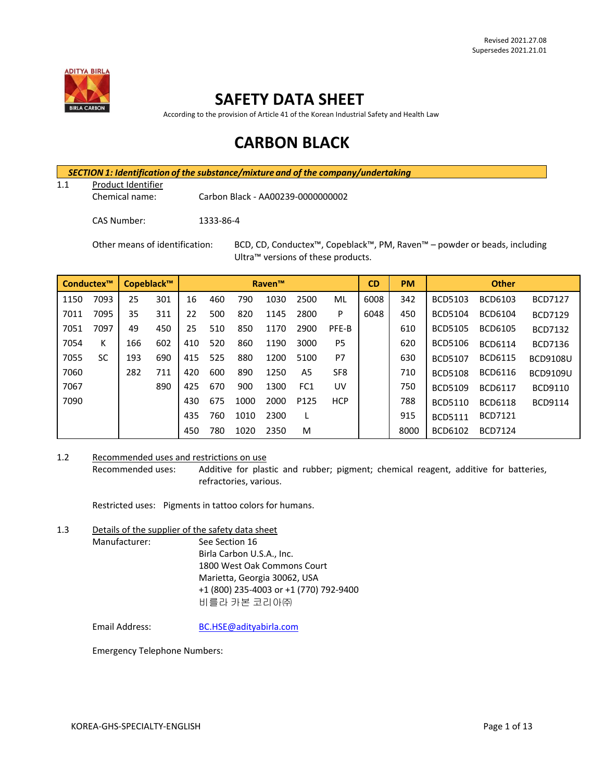

## **SAFETY DATA SHEET**

According to the provision of Article 41 of the Korean Industrial Safety and Health Law

# **CARBON BLACK**

*SECTION 1: Identification of the substance/mixture and of the company/undertaking*

1.1 Product Identifier

Chemical name: Carbon Black - AA00239-0000000002

CAS Number: 1333-86-4

Other means of identification: BCD, CD, Conductex™, Copeblack™, PM, Raven™ – powder or beads, including Ultra™ versions of these products.

| Conductex™ |           | Copeblack™ |     | <b>Raven™</b> |     |      | <b>CD</b><br><b>PM</b> |                  | <b>Other</b>    |      |      |                |                |                 |
|------------|-----------|------------|-----|---------------|-----|------|------------------------|------------------|-----------------|------|------|----------------|----------------|-----------------|
| 1150       | 7093      | 25         | 301 | 16            | 460 | 790  | 1030                   | 2500             | ML              | 6008 | 342  | <b>BCD5103</b> | BCD6103        | <b>BCD7127</b>  |
| 7011       | 7095      | 35         | 311 | 22            | 500 | 820  | 1145                   | 2800             | P               | 6048 | 450  | <b>BCD5104</b> | <b>BCD6104</b> | <b>BCD7129</b>  |
| 7051       | 7097      | 49         | 450 | 25            | 510 | 850  | 1170                   | 2900             | PFE-B           |      | 610  | <b>BCD5105</b> | <b>BCD6105</b> | <b>BCD7132</b>  |
| 7054       | К         | 166        | 602 | 410           | 520 | 860  | 1190                   | 3000             | P <sub>5</sub>  |      | 620  | <b>BCD5106</b> | <b>BCD6114</b> | BCD7136         |
| 7055       | <b>SC</b> | 193        | 690 | 415           | 525 | 880  | 1200                   | 5100             | P7              |      | 630  | <b>BCD5107</b> | <b>BCD6115</b> | <b>BCD9108U</b> |
| 7060       |           | 282        | 711 | 420           | 600 | 890  | 1250                   | A5               | SF <sub>8</sub> |      | 710  | <b>BCD5108</b> | <b>BCD6116</b> | <b>BCD9109U</b> |
| 7067       |           |            | 890 | 425           | 670 | 900  | 1300                   | FC <sub>1</sub>  | UV              |      | 750  | <b>BCD5109</b> | <b>BCD6117</b> | BCD9110         |
| 7090       |           |            |     | 430           | 675 | 1000 | 2000                   | P <sub>125</sub> | <b>HCP</b>      |      | 788  | <b>BCD5110</b> | <b>BCD6118</b> | <b>BCD9114</b>  |
|            |           |            |     | 435           | 760 | 1010 | 2300                   |                  |                 |      | 915  | <b>BCD5111</b> | <b>BCD7121</b> |                 |
|            |           |            |     | 450           | 780 | 1020 | 2350                   | M                |                 |      | 8000 | BCD6102        | <b>BCD7124</b> |                 |

## 1.2 Recommended uses and restrictions on use

Recommended uses: Additive for plastic and rubber; pigment; chemical reagent, additive for batteries, refractories, various.

Restricted uses: Pigments in tattoo colors for humans.

1.3 Details of the supplier of the safety data sheet Manufacturer: See Section 16 Birla Carbon U.S.A., Inc. 1800 West Oak Commons Court Marietta, Georgia 30062, USA +1 (800) 235-4003 or +1 (770) 792-9400 비를라 카본 코리아㈜

Email Address: [BC.HSE@adityabirla.com](mailto:BC.HSE@adityabirla.com)

Emergency Telephone Numbers: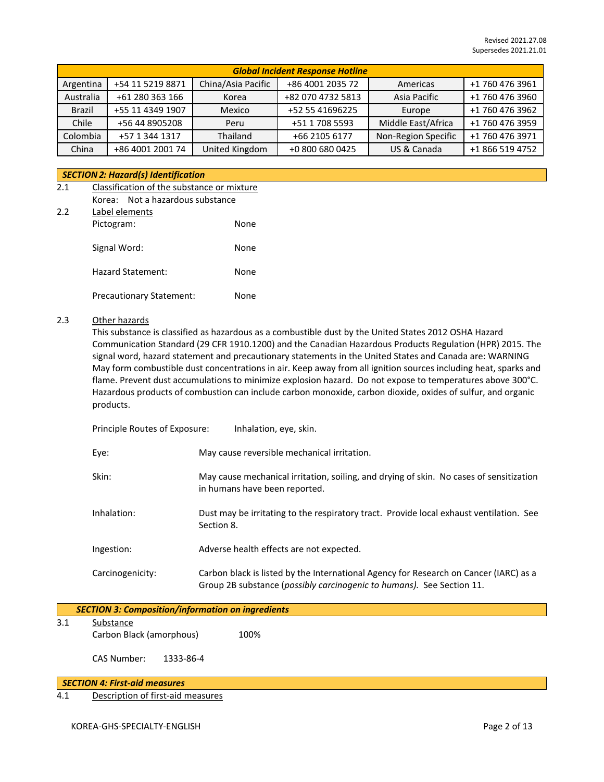|               | <b>Global Incident Response Hotline</b> |                    |                   |                     |                 |  |
|---------------|-----------------------------------------|--------------------|-------------------|---------------------|-----------------|--|
| Argentina     | +54 11 5219 8871                        | China/Asia Pacific | +86 4001 2035 72  | Americas            | +1 760 476 3961 |  |
| Australia     | +61 280 363 166                         | Korea              | +82 070 4732 5813 | Asia Pacific        | +1 760 476 3960 |  |
| <b>Brazil</b> | +55 11 4349 1907                        | Mexico             | +52 55 41696225   | Europe              | +1 760 476 3962 |  |
| Chile         | +56 44 8905208                          | Peru               | +51 1 708 5593    | Middle East/Africa  | +1 760 476 3959 |  |
| Colombia      | +57 1 344 1317                          | Thailand           | +66 2105 6177     | Non-Region Specific | +1 760 476 3971 |  |
| China         | +86 4001 2001 74                        | United Kingdom     | +0 800 680 0425   | US & Canada         | +1 866 519 4752 |  |

### *SECTION 2: Hazard(s) Identification*

| 2.1 | Classification of the substance or mixture |      |  |  |
|-----|--------------------------------------------|------|--|--|
|     | Not a hazardous substance<br>Korea:        |      |  |  |
| 2.2 | Label elements                             |      |  |  |
|     | Pictogram:                                 | None |  |  |
|     | Signal Word:                               | None |  |  |
|     | <b>Hazard Statement:</b>                   | None |  |  |

Precautionary Statement: None

## 2.3 Other hazards

This substance is classified as hazardous as a combustible dust by the United States 2012 OSHA Hazard Communication Standard (29 CFR 1910.1200) and the Canadian Hazardous Products Regulation (HPR) 2015. The signal word, hazard statement and precautionary statements in the United States and Canada are: WARNING May form combustible dust concentrations in air. Keep away from all ignition sources including heat, sparks and flame. Prevent dust accumulations to minimize explosion hazard. Do not expose to temperatures above 300°C. Hazardous products of combustion can include carbon monoxide, carbon dioxide, oxides of sulfur, and organic products.

| Principle Routes of Exposure: | Inhalation, eye, skin.                                                                                                                                         |
|-------------------------------|----------------------------------------------------------------------------------------------------------------------------------------------------------------|
| Eye:                          | May cause reversible mechanical irritation.                                                                                                                    |
| Skin:                         | May cause mechanical irritation, soiling, and drying of skin. No cases of sensitization<br>in humans have been reported.                                       |
| Inhalation:                   | Dust may be irritating to the respiratory tract. Provide local exhaust ventilation. See<br>Section 8.                                                          |
| Ingestion:                    | Adverse health effects are not expected.                                                                                                                       |
| Carcinogenicity:              | Carbon black is listed by the International Agency for Research on Cancer (IARC) as a<br>Group 2B substance (possibly carcinogenic to humans). See Section 11. |

|     | <b>SECTION 3: Composition/information on ingredients</b> |      |
|-----|----------------------------------------------------------|------|
| 3.1 | Substance<br>Carbon Black (amorphous)                    | 100% |
|     | CAS Number:<br>1333-86-4                                 |      |

#### *SECTION 4: First-aid measures*

4.1 Description of first-aid measures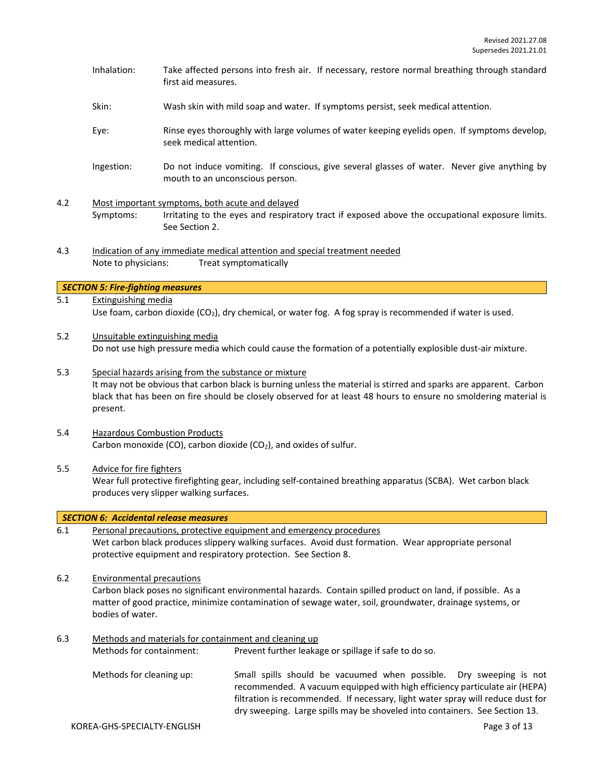- Inhalation: Take affected persons into fresh air. If necessary, restore normal breathing through standard first aid measures.
- Skin: Wash skin with mild soap and water. If symptoms persist, seek medical attention.
- Eye: Rinse eyes thoroughly with large volumes of water keeping eyelids open. If symptoms develop, seek medical attention.
- Ingestion: Do not induce vomiting. If conscious, give several glasses of water. Never give anything by mouth to an unconscious person.
- 4.2 Most important symptoms, both acute and delayed Symptoms: Irritating to the eyes and respiratory tract if exposed above the occupational exposure limits. See Section 2.
- 4.3 Indication of any immediate medical attention and special treatment needed Note to physicians: Treat symptomatically

#### *SECTION 5: Fire-fighting measures*

- 5.1 Extinguishing media Use foam, carbon dioxide (CO<sub>2</sub>), dry chemical, or water fog. A fog spray is recommended if water is used.
- 5.2 Unsuitable extinguishing media Do not use high pressure media which could cause the formation of a potentially explosible dust-air mixture.
- 5.3 Special hazards arising from the substance or mixture It may not be obvious that carbon black is burning unless the material is stirred and sparks are apparent. Carbon black that has been on fire should be closely observed for at least 48 hours to ensure no smoldering material is present.
- 5.4 Hazardous Combustion Products Carbon monoxide (CO), carbon dioxide (CO<sub>2</sub>), and oxides of sulfur.
- 5.5 Advice for fire fighters

Wear full protective firefighting gear, including self-contained breathing apparatus (SCBA). Wet carbon black produces very slipper walking surfaces.

|     | <b>SECTION 6: Accidental release measures</b>                                                                                                                                                                                                                                   |                                                                                                                                                                                                                                                |  |  |  |  |
|-----|---------------------------------------------------------------------------------------------------------------------------------------------------------------------------------------------------------------------------------------------------------------------------------|------------------------------------------------------------------------------------------------------------------------------------------------------------------------------------------------------------------------------------------------|--|--|--|--|
| 6.1 |                                                                                                                                                                                                                                                                                 | Personal precautions, protective equipment and emergency procedures<br>Wet carbon black produces slippery walking surfaces. Avoid dust formation. Wear appropriate personal<br>protective equipment and respiratory protection. See Section 8. |  |  |  |  |
| 6.2 | <b>Environmental precautions</b><br>Carbon black poses no significant environmental hazards. Contain spilled product on land, if possible. As a<br>matter of good practice, minimize contamination of sewage water, soil, groundwater, drainage systems, or<br>bodies of water. |                                                                                                                                                                                                                                                |  |  |  |  |
| 6.3 | Methods and materials for containment and cleaning up<br>Prevent further leakage or spillage if safe to do so.<br>Methods for containment:                                                                                                                                      |                                                                                                                                                                                                                                                |  |  |  |  |
|     | Methods for cleaning up:                                                                                                                                                                                                                                                        | Small spills should be vacuumed when possible. Dry sweeping is not<br>recommended. A vacuum equipped with high efficiency particulate air (HEPA)                                                                                               |  |  |  |  |

filtration is recommended. If necessary, light water spray will reduce dust for dry sweeping. Large spills may be shoveled into containers. See Section 13.

KOREA-GHS-SPECIALTY-ENGLISH **Page 3 of 13**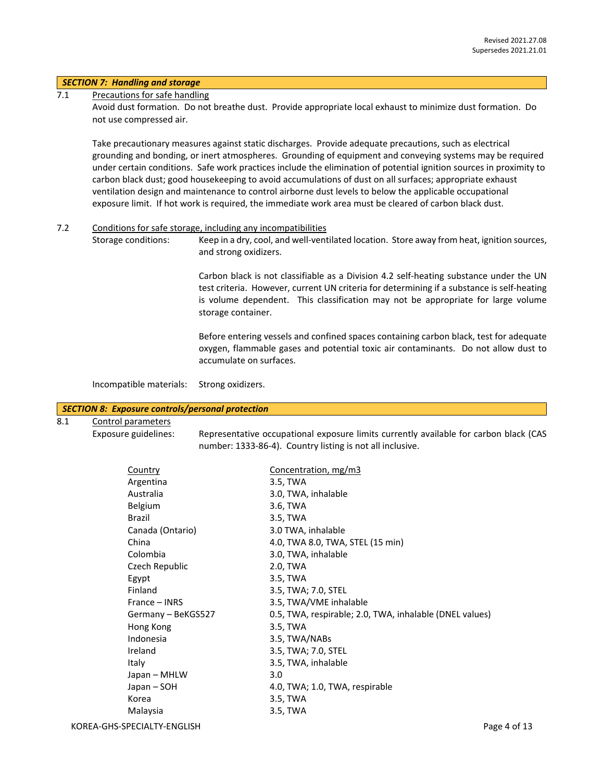#### *SECTION 7: Handling and storage*

#### 7.1 Precautions for safe handling

Avoid dust formation. Do not breathe dust. Provide appropriate local exhaust to minimize dust formation. Do not use compressed air.

Take precautionary measures against static discharges. Provide adequate precautions, such as electrical grounding and bonding, or inert atmospheres. Grounding of equipment and conveying systems may be required under certain conditions. Safe work practices include the elimination of potential ignition sources in proximity to carbon black dust; good housekeeping to avoid accumulations of dust on all surfaces; appropriate exhaust ventilation design and maintenance to control airborne dust levels to below the applicable occupational exposure limit. If hot work is required, the immediate work area must be cleared of carbon black dust.

#### 7.2 Conditions for safe storage, including any incompatibilities

Storage conditions: Keep in a dry, cool, and well-ventilated location. Store away from heat, ignition sources, and strong oxidizers.

> Carbon black is not classifiable as a Division 4.2 self-heating substance under the UN test criteria. However, current UN criteria for determining if a substance is self-heating is volume dependent. This classification may not be appropriate for large volume storage container.

> Before entering vessels and confined spaces containing carbon black, test for adequate oxygen, flammable gases and potential toxic air contaminants. Do not allow dust to accumulate on surfaces.

Incompatible materials: Strong oxidizers.

#### *SECTION 8: Exposure controls/personal protection*

8.1 Control parameters

Exposure guidelines: Representative occupational exposure limits currently available for carbon black (CAS number: 1333-86-4). Country listing is not all inclusive.

| Country            | Concentration, mg/m3                                    |
|--------------------|---------------------------------------------------------|
| Argentina          | 3.5, TWA                                                |
| Australia          | 3.0, TWA, inhalable                                     |
| <b>Belgium</b>     | 3.6, TWA                                                |
| Brazil             | 3.5, TWA                                                |
| Canada (Ontario)   | 3.0 TWA, inhalable                                      |
| China              | 4.0, TWA 8.0, TWA, STEL (15 min)                        |
| Colombia           | 3.0, TWA, inhalable                                     |
| Czech Republic     | 2.0, TWA                                                |
| Egypt              | 3.5, TWA                                                |
| Finland            | 3.5, TWA; 7.0, STEL                                     |
| France – INRS      | 3.5, TWA/VME inhalable                                  |
| Germany - BeKGS527 | 0.5, TWA, respirable; 2.0, TWA, inhalable (DNEL values) |
| Hong Kong          | 3.5, TWA                                                |
| Indonesia          | 3.5, TWA/NABs                                           |
| Ireland            | 3.5, TWA; 7.0, STEL                                     |
| Italy              | 3.5, TWA, inhalable                                     |
| Japan – MHLW       | 3.0                                                     |
| Japan – SOH        | 4.0, TWA; 1.0, TWA, respirable                          |
| Korea              | 3.5, TWA                                                |
| Malaysia           | 3.5, TWA                                                |
|                    |                                                         |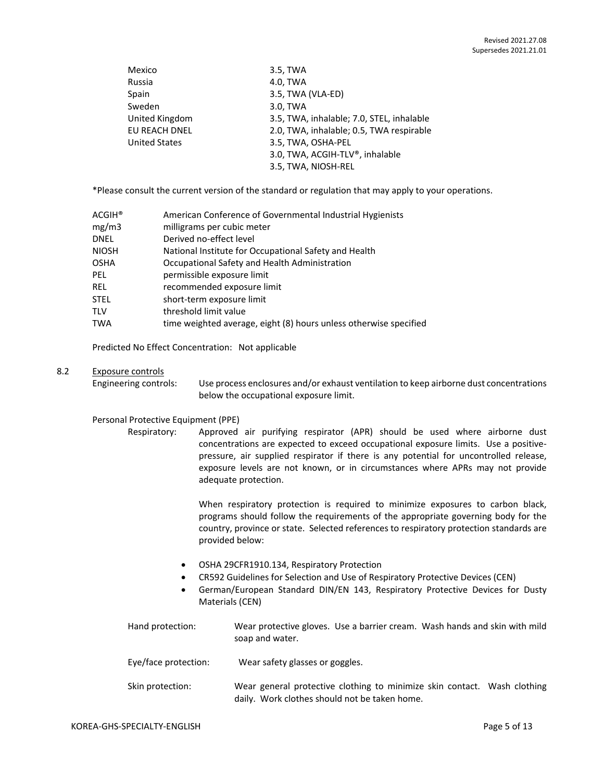| Mexico               | 3.5, TWA                                  |
|----------------------|-------------------------------------------|
| Russia               | 4.0, TWA                                  |
| Spain                | 3.5, TWA (VLA-ED)                         |
| Sweden               | 3.0, TWA                                  |
| United Kingdom       | 3.5, TWA, inhalable; 7.0, STEL, inhalable |
| EU REACH DNEL        | 2.0, TWA, inhalable; 0.5, TWA respirable  |
| <b>United States</b> | 3.5, TWA, OSHA-PEL                        |
|                      | 3.0, TWA, ACGIH-TLV®, inhalable           |
|                      | 3.5, TWA, NIOSH-REL                       |

\*Please consult the current version of the standard or regulation that may apply to your operations.

| ACGIH® | American Conference of Governmental Industrial Hygienists         |
|--------|-------------------------------------------------------------------|
| mg/m3  | milligrams per cubic meter                                        |
| DNEL   | Derived no-effect level                                           |
| NIOSH  | National Institute for Occupational Safety and Health             |
| OSHA   | Occupational Safety and Health Administration                     |
| PEL    | permissible exposure limit                                        |
| REL    | recommended exposure limit                                        |
| STEL   | short-term exposure limit                                         |
| TLV    | threshold limit value                                             |
| TWA    | time weighted average, eight (8) hours unless otherwise specified |

Predicted No Effect Concentration: Not applicable

### 8.2 Exposure controls

Engineering controls: Use process enclosures and/or exhaust ventilation to keep airborne dust concentrations below the occupational exposure limit.

#### Personal Protective Equipment (PPE)

Respiratory: Approved air purifying respirator (APR) should be used where airborne dust concentrations are expected to exceed occupational exposure limits. Use a positivepressure, air supplied respirator if there is any potential for uncontrolled release, exposure levels are not known, or in circumstances where APRs may not provide adequate protection.

> When respiratory protection is required to minimize exposures to carbon black, programs should follow the requirements of the appropriate governing body for the country, province or state. Selected references to respiratory protection standards are provided below:

- OSHA 29CFR1910.134, Respiratory Protection
- CR592 Guidelines for Selection and Use of Respiratory Protective Devices (CEN)
- German/European Standard DIN/EN 143, Respiratory Protective Devices for Dusty Materials (CEN)

| Hand protection:     | Wear protective gloves. Use a barrier cream. Wash hands and skin with mild<br>soap and water.                             |
|----------------------|---------------------------------------------------------------------------------------------------------------------------|
| Eye/face protection: | Wear safety glasses or goggles.                                                                                           |
| Skin protection:     | Wear general protective clothing to minimize skin contact. Wash clothing<br>daily. Work clothes should not be taken home. |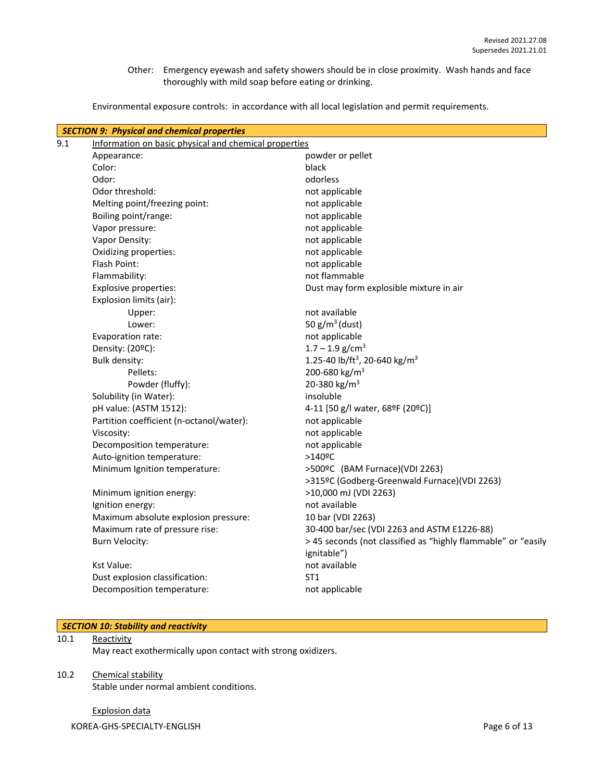Other: Emergency eyewash and safety showers should be in close proximity. Wash hands and face thoroughly with mild soap before eating or drinking.

Environmental exposure controls: in accordance with all local legislation and permit requirements.

|     | <b>SECTION 9: Physical and chemical properties</b>    |                                                               |  |  |  |  |
|-----|-------------------------------------------------------|---------------------------------------------------------------|--|--|--|--|
| 9.1 | Information on basic physical and chemical properties |                                                               |  |  |  |  |
|     | Appearance:                                           | powder or pellet                                              |  |  |  |  |
|     | Color:                                                | black                                                         |  |  |  |  |
|     | Odor:                                                 | odorless                                                      |  |  |  |  |
|     | Odor threshold:                                       | not applicable                                                |  |  |  |  |
|     | Melting point/freezing point:                         | not applicable                                                |  |  |  |  |
|     | Boiling point/range:                                  | not applicable                                                |  |  |  |  |
|     | Vapor pressure:                                       | not applicable                                                |  |  |  |  |
|     | Vapor Density:                                        | not applicable                                                |  |  |  |  |
|     | Oxidizing properties:                                 | not applicable                                                |  |  |  |  |
|     | Flash Point:                                          | not applicable                                                |  |  |  |  |
|     | Flammability:                                         | not flammable                                                 |  |  |  |  |
|     | <b>Explosive properties:</b>                          | Dust may form explosible mixture in air                       |  |  |  |  |
|     | Explosion limits (air):                               |                                                               |  |  |  |  |
|     | Upper:                                                | not available                                                 |  |  |  |  |
|     | Lower:                                                | 50 $g/m^3$ (dust)                                             |  |  |  |  |
|     | Evaporation rate:                                     | not applicable                                                |  |  |  |  |
|     | Density: (20ºC):                                      | $1.7 - 1.9$ g/cm <sup>3</sup>                                 |  |  |  |  |
|     | <b>Bulk density:</b>                                  | 1.25-40 lb/ft <sup>3</sup> , 20-640 kg/m <sup>3</sup>         |  |  |  |  |
|     | Pellets:                                              | 200-680 kg/m <sup>3</sup>                                     |  |  |  |  |
|     | Powder (fluffy):                                      | 20-380 kg/m <sup>3</sup>                                      |  |  |  |  |
|     | Solubility (in Water):                                | insoluble                                                     |  |  |  |  |
|     | pH value: (ASTM 1512):                                | 4-11 [50 g/l water, 68ºF (20ºC)]                              |  |  |  |  |
|     | Partition coefficient (n-octanol/water):              | not applicable                                                |  |  |  |  |
|     | Viscosity:                                            | not applicable                                                |  |  |  |  |
|     | Decomposition temperature:                            | not applicable                                                |  |  |  |  |
|     | Auto-ignition temperature:                            | $>140$ <sup>o</sup> C                                         |  |  |  |  |
|     | Minimum Ignition temperature:                         | >500°C (BAM Furnace)(VDI 2263)                                |  |  |  |  |
|     |                                                       | >315ºC (Godberg-Greenwald Furnace)(VDI 2263)                  |  |  |  |  |
|     | Minimum ignition energy:                              | >10,000 mJ (VDI 2263)                                         |  |  |  |  |
|     | Ignition energy:                                      | not available                                                 |  |  |  |  |
|     | Maximum absolute explosion pressure:                  | 10 bar (VDI 2263)                                             |  |  |  |  |
|     | Maximum rate of pressure rise:                        | 30-400 bar/sec (VDI 2263 and ASTM E1226-88)                   |  |  |  |  |
|     | <b>Burn Velocity:</b>                                 | > 45 seconds (not classified as "highly flammable" or "easily |  |  |  |  |
|     |                                                       | ignitable")                                                   |  |  |  |  |
|     | <b>Kst Value:</b>                                     | not available                                                 |  |  |  |  |
|     | Dust explosion classification:                        | ST <sub>1</sub>                                               |  |  |  |  |
|     | Decomposition temperature:                            | not applicable                                                |  |  |  |  |
|     |                                                       |                                                               |  |  |  |  |

## *SECTION 10: Stability and reactivity*

## 10.1 Reactivity

May react exothermically upon contact with strong oxidizers.

## 10.2 Chemical stability

Stable under normal ambient conditions.

KOREA-GHS-SPECIALTY-ENGLISH **Page 6 of 13** Explosion data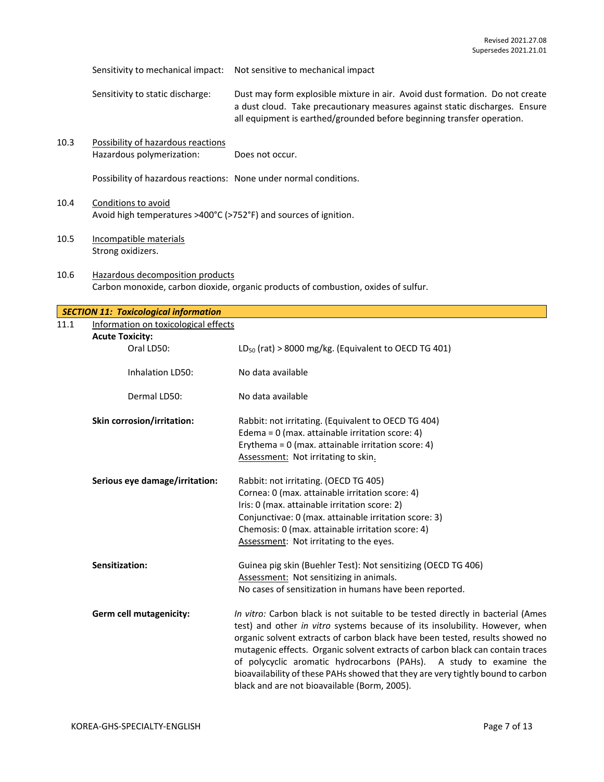Sensitivity to mechanical impact: Not sensitive to mechanical impact

Sensitivity to static discharge: Dust may form explosible mixture in air. Avoid dust formation. Do not create a dust cloud. Take precautionary measures against static discharges. Ensure all equipment is earthed/grounded before beginning transfer operation.

10.3 Possibility of hazardous reactions Hazardous polymerization: Does not occur.

Possibility of hazardous reactions: None under normal conditions.

- 10.4 Conditions to avoid Avoid high temperatures >400°C (>752°F) and sources of ignition.
- 10.5 Incompatible materials Strong oxidizers.
- 10.6 Hazardous decomposition products Carbon monoxide, carbon dioxide, organic products of combustion, oxides of sulfur.

|      | <b>SECTION 11: Toxicological information</b> |                                                                                                                                                                |
|------|----------------------------------------------|----------------------------------------------------------------------------------------------------------------------------------------------------------------|
| 11.1 | Information on toxicological effects         |                                                                                                                                                                |
|      | <b>Acute Toxicity:</b>                       |                                                                                                                                                                |
|      | Oral LD50:                                   | $LD_{50}$ (rat) > 8000 mg/kg. (Equivalent to OECD TG 401)                                                                                                      |
|      | <b>Inhalation LD50:</b>                      | No data available                                                                                                                                              |
|      | Dermal LD50:                                 | No data available                                                                                                                                              |
|      | Skin corrosion/irritation:                   | Rabbit: not irritating. (Equivalent to OECD TG 404)                                                                                                            |
|      |                                              | Edema = $0$ (max. attainable irritation score: 4)                                                                                                              |
|      |                                              | Erythema = $0$ (max. attainable irritation score: 4)                                                                                                           |
|      |                                              | Assessment: Not irritating to skin.                                                                                                                            |
|      | Serious eye damage/irritation:               | Rabbit: not irritating. (OECD TG 405)                                                                                                                          |
|      |                                              | Cornea: 0 (max. attainable irritation score: 4)                                                                                                                |
|      |                                              | Iris: 0 (max. attainable irritation score: 2)                                                                                                                  |
|      |                                              | Conjunctivae: 0 (max. attainable irritation score: 3)                                                                                                          |
|      |                                              | Chemosis: 0 (max. attainable irritation score: 4)                                                                                                              |
|      |                                              | Assessment: Not irritating to the eyes.                                                                                                                        |
|      | Sensitization:                               | Guinea pig skin (Buehler Test): Not sensitizing (OECD TG 406)                                                                                                  |
|      |                                              | Assessment: Not sensitizing in animals.                                                                                                                        |
|      |                                              | No cases of sensitization in humans have been reported.                                                                                                        |
|      | Germ cell mutagenicity:                      | In vitro: Carbon black is not suitable to be tested directly in bacterial (Ames<br>test) and other in vitro systems because of its insolubility. However, when |
|      |                                              | organic solvent extracts of carbon black have been tested, results showed no                                                                                   |
|      |                                              | mutagenic effects. Organic solvent extracts of carbon black can contain traces                                                                                 |
|      |                                              | of polycyclic aromatic hydrocarbons (PAHs). A study to examine the                                                                                             |
|      |                                              | bioavailability of these PAHs showed that they are very tightly bound to carbon                                                                                |
|      |                                              | black and are not bioavailable (Borm, 2005).                                                                                                                   |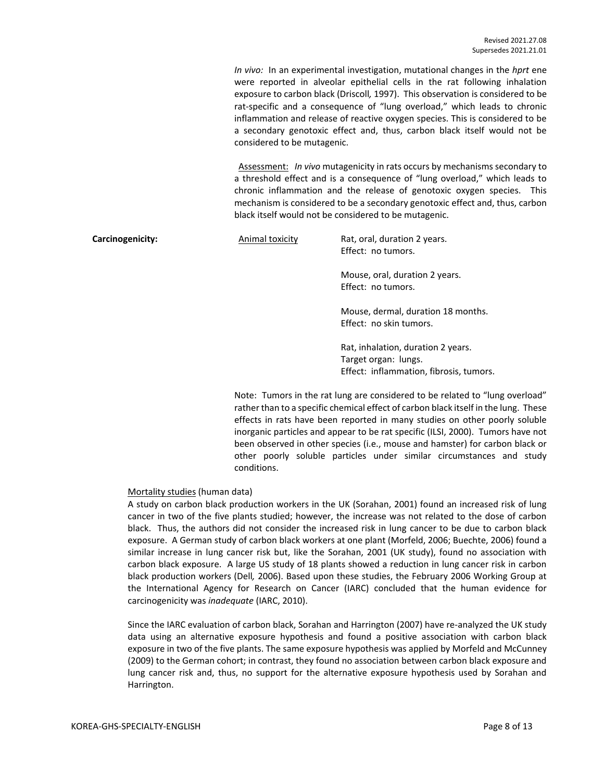*In vivo:* In an experimental investigation, mutational changes in the *hprt* ene were reported in alveolar epithelial cells in the rat following inhalation exposure to carbon black (Driscoll*,* 1997). This observation is considered to be rat-specific and a consequence of "lung overload," which leads to chronic inflammation and release of reactive oxygen species. This is considered to be a secondary genotoxic effect and, thus, carbon black itself would not be considered to be mutagenic.

Assessment: *In vivo* mutagenicity in rats occurs by mechanisms secondary to a threshold effect and is a consequence of "lung overload," which leads to chronic inflammation and the release of genotoxic oxygen species. This mechanism is considered to be a secondary genotoxic effect and, thus, carbon black itself would not be considered to be mutagenic.

**Carcinogenicity:** Animal toxicity Rat, oral, duration 2 years. Effect: no tumors.

> Mouse, oral, duration 2 years. Effect: no tumors.

Mouse, dermal, duration 18 months. Effect: no skin tumors.

Rat, inhalation, duration 2 years. Target organ: lungs. Effect: inflammation, fibrosis, tumors.

Note: Tumors in the rat lung are considered to be related to "lung overload" rather than to a specific chemical effect of carbon black itself in the lung. These effects in rats have been reported in many studies on other poorly soluble inorganic particles and appear to be rat specific (ILSI, 2000). Tumors have not been observed in other species (i.e., mouse and hamster) for carbon black or other poorly soluble particles under similar circumstances and study conditions.

## Mortality studies (human data)

A study on carbon black production workers in the UK (Sorahan, 2001) found an increased risk of lung cancer in two of the five plants studied; however, the increase was not related to the dose of carbon black. Thus, the authors did not consider the increased risk in lung cancer to be due to carbon black exposure. A German study of carbon black workers at one plant (Morfeld, 2006; Buechte, 2006) found a similar increase in lung cancer risk but, like the Sorahan, 2001 (UK study), found no association with carbon black exposure. A large US study of 18 plants showed a reduction in lung cancer risk in carbon black production workers (Dell*,* 2006). Based upon these studies, the February 2006 Working Group at the International Agency for Research on Cancer (IARC) concluded that the human evidence for carcinogenicity was *inadequate* (IARC, 2010).

Since the IARC evaluation of carbon black, Sorahan and Harrington (2007) have re-analyzed the UK study data using an alternative exposure hypothesis and found a positive association with carbon black exposure in two of the five plants. The same exposure hypothesis was applied by Morfeld and McCunney (2009) to the German cohort; in contrast, they found no association between carbon black exposure and lung cancer risk and, thus, no support for the alternative exposure hypothesis used by Sorahan and Harrington.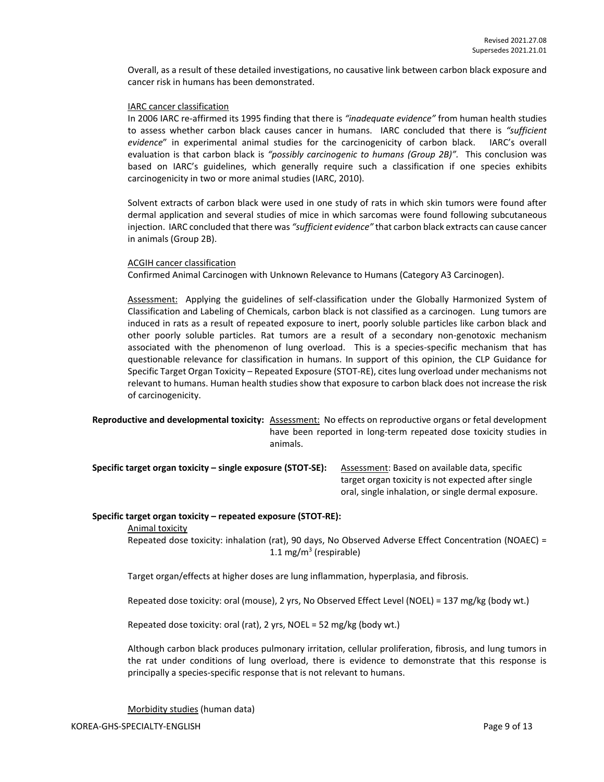Overall, as a result of these detailed investigations, no causative link between carbon black exposure and cancer risk in humans has been demonstrated.

#### IARC cancer classification

In 2006 IARC re-affirmed its 1995 finding that there is *"inadequate evidence"* from human health studies to assess whether carbon black causes cancer in humans. IARC concluded that there is *"sufficient evidence*" in experimental animal studies for the carcinogenicity of carbon black. IARC's overall evaluation is that carbon black is *"possibly carcinogenic to humans (Group 2B)".* This conclusion was based on IARC's guidelines, which generally require such a classification if one species exhibits carcinogenicity in two or more animal studies (IARC, 2010).

Solvent extracts of carbon black were used in one study of rats in which skin tumors were found after dermal application and several studies of mice in which sarcomas were found following subcutaneous injection. IARC concluded that there was *"sufficient evidence"* that carbon black extracts can cause cancer in animals (Group 2B).

#### ACGIH cancer classification

Confirmed Animal Carcinogen with Unknown Relevance to Humans (Category A3 Carcinogen).

Assessment: Applying the guidelines of self-classification under the Globally Harmonized System of Classification and Labeling of Chemicals, carbon black is not classified as a carcinogen. Lung tumors are induced in rats as a result of repeated exposure to inert, poorly soluble particles like carbon black and other poorly soluble particles. Rat tumors are a result of a secondary non-genotoxic mechanism associated with the phenomenon of lung overload. This is a species-specific mechanism that has questionable relevance for classification in humans. In support of this opinion, the CLP Guidance for Specific Target Organ Toxicity – Repeated Exposure (STOT-RE), cites lung overload under mechanisms not relevant to humans. Human health studies show that exposure to carbon black does not increase the risk of carcinogenicity.

**Reproductive and developmental toxicity:** Assessment: No effects on reproductive organs or fetal development have been reported in long-term repeated dose toxicity studies in animals.

**Specific target organ toxicity – single exposure (STOT-SE):** Assessment: Based on available data, specific

target organ toxicity is not expected after single oral, single inhalation, or single dermal exposure.

#### **Specific target organ toxicity – repeated exposure (STOT-RE):**

Animal toxicity

Repeated dose toxicity: inhalation (rat), 90 days, No Observed Adverse Effect Concentration (NOAEC) = 1.1 mg/m<sup>3</sup> (respirable)

Target organ/effects at higher doses are lung inflammation, hyperplasia, and fibrosis.

Repeated dose toxicity: oral (mouse), 2 yrs, No Observed Effect Level (NOEL) = 137 mg/kg (body wt.)

Repeated dose toxicity: oral (rat), 2 yrs, NOEL = 52 mg/kg (body wt.)

Although carbon black produces pulmonary irritation, cellular proliferation, fibrosis, and lung tumors in the rat under conditions of lung overload, there is evidence to demonstrate that this response is principally a species-specific response that is not relevant to humans.

Morbidity studies (human data)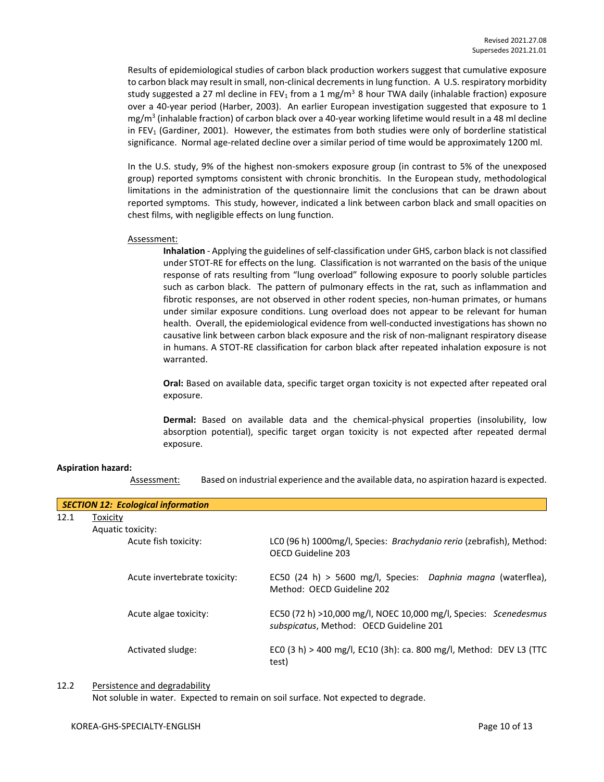Results of epidemiological studies of carbon black production workers suggest that cumulative exposure to carbon black may result in small, non-clinical decrements in lung function. A U.S. respiratory morbidity study suggested a 27 ml decline in FEV<sub>1</sub> from a 1 mg/m<sup>3</sup> 8 hour TWA daily (inhalable fraction) exposure over a 40-year period (Harber, 2003). An earlier European investigation suggested that exposure to 1 mg/m<sup>3</sup> (inhalable fraction) of carbon black over a 40-year working lifetime would result in a 48 ml decline in  $FEV<sub>1</sub>$  (Gardiner, 2001). However, the estimates from both studies were only of borderline statistical significance. Normal age-related decline over a similar period of time would be approximately 1200 ml.

In the U.S. study, 9% of the highest non-smokers exposure group (in contrast to 5% of the unexposed group) reported symptoms consistent with chronic bronchitis. In the European study, methodological limitations in the administration of the questionnaire limit the conclusions that can be drawn about reported symptoms. This study, however, indicated a link between carbon black and small opacities on chest films, with negligible effects on lung function.

#### Assessment:

**Inhalation** - Applying the guidelines of self-classification under GHS, carbon black is not classified under STOT-RE for effects on the lung. Classification is not warranted on the basis of the unique response of rats resulting from "lung overload" following exposure to poorly soluble particles such as carbon black. The pattern of pulmonary effects in the rat, such as inflammation and fibrotic responses, are not observed in other rodent species, non-human primates, or humans under similar exposure conditions. Lung overload does not appear to be relevant for human health. Overall, the epidemiological evidence from well-conducted investigations has shown no causative link between carbon black exposure and the risk of non-malignant respiratory disease in humans. A STOT-RE classification for carbon black after repeated inhalation exposure is not warranted.

**Oral:** Based on available data, specific target organ toxicity is not expected after repeated oral exposure.

**Dermal:** Based on available data and the chemical-physical properties (insolubility, low absorption potential), specific target organ toxicity is not expected after repeated dermal exposure.

#### **Aspiration hazard:**

Assessment: Based on industrial experience and the available data, no aspiration hazard is expected.

|      | <b>SECTION 12: Ecological information</b> |                                                                                                             |
|------|-------------------------------------------|-------------------------------------------------------------------------------------------------------------|
| 12.1 | Toxicity                                  |                                                                                                             |
|      | Aquatic toxicity:                         |                                                                                                             |
|      | Acute fish toxicity:                      | LCO (96 h) 1000mg/l, Species: Brachydanio rerio (zebrafish), Method:<br>OECD Guideline 203                  |
|      | Acute invertebrate toxicity:              | EC50 (24 h) > 5600 mg/l, Species: Daphnia magna (waterflea),<br>Method: OECD Guideline 202                  |
|      | Acute algae toxicity:                     | EC50 (72 h) >10,000 mg/l, NOEC 10,000 mg/l, Species: Scenedesmus<br>subspicatus, Method: OECD Guideline 201 |
|      | Activated sludge:                         | ECO (3 h) > 400 mg/l, EC10 (3h): ca. 800 mg/l, Method: DEV L3 (TTC<br>test)                                 |

12.2 Persistence and degradability

Not soluble in water. Expected to remain on soil surface. Not expected to degrade.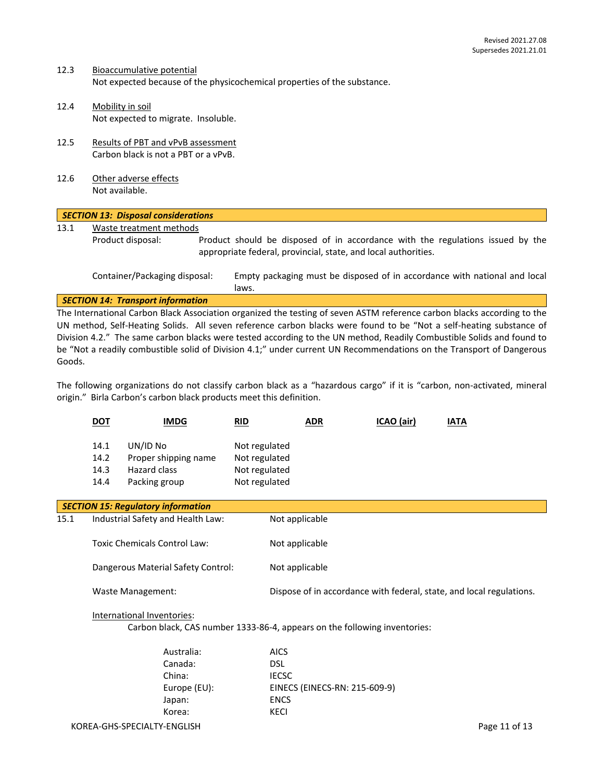- 12.3 Bioaccumulative potential Not expected because of the physicochemical properties of the substance.
- 12.4 Mobility in soil Not expected to migrate. Insoluble.
- 12.5 Results of PBT and vPvB assessment Carbon black is not a PBT or a vPvB.
- 12.6 Other adverse effects Not available.

## *SECTION 13: Disposal considerations* 13.1 Waste treatment methods Product disposal: Product should be disposed of in accordance with the regulations issued by the appropriate federal, provincial, state, and local authorities. Container/Packaging disposal: Empty packaging must be disposed of in accordance with national and local laws.

## *SECTION 14: Transport information*

The International Carbon Black Association organized the testing of seven ASTM reference carbon blacks according to the UN method, Self-Heating Solids. All seven reference carbon blacks were found to be "Not a self-heating substance of Division 4.2." The same carbon blacks were tested according to the UN method, Readily Combustible Solids and found to be "Not a readily combustible solid of Division 4.1;" under current UN Recommendations on the Transport of Dangerous Goods.

The following organizations do not classify carbon black as a "hazardous cargo" if it is "carbon, non-activated, mineral origin." Birla Carbon's carbon black products meet this definition.

|                                           | <u>DOT</u>                   | <b>IMDG</b>                                                       | RID                                                              | <b>ADR</b> | ICAO (air) | <b>IATA</b> |
|-------------------------------------------|------------------------------|-------------------------------------------------------------------|------------------------------------------------------------------|------------|------------|-------------|
|                                           | 14.1<br>14.2<br>14.3<br>14.4 | UN/ID No<br>Proper shipping name<br>Hazard class<br>Packing group | Not regulated<br>Not regulated<br>Not regulated<br>Not regulated |            |            |             |
| <b>SECTION 15: Regulatory information</b> |                              |                                                                   |                                                                  |            |            |             |
| 15.1                                      |                              | Industrial Safety and Health Law:                                 | Not applicable                                                   |            |            |             |

| Toxic Chemicals Control Law: | Not applicable |
|------------------------------|----------------|
|                              |                |

Dangerous Material Safety Control: Not applicable

Waste Management: Dispose of in accordance with federal, state, and local regulations.

## International Inventories:

Carbon black, CAS number 1333-86-4, appears on the following inventories:

| Australia:   | <b>AICS</b>                   |
|--------------|-------------------------------|
| Canada:      | DSL                           |
| China:       | <b>IECSC</b>                  |
| Europe (EU): | EINECS (EINECS-RN: 215-609-9) |
| Japan:       | <b>ENCS</b>                   |
| Korea:       | KECI                          |
|              |                               |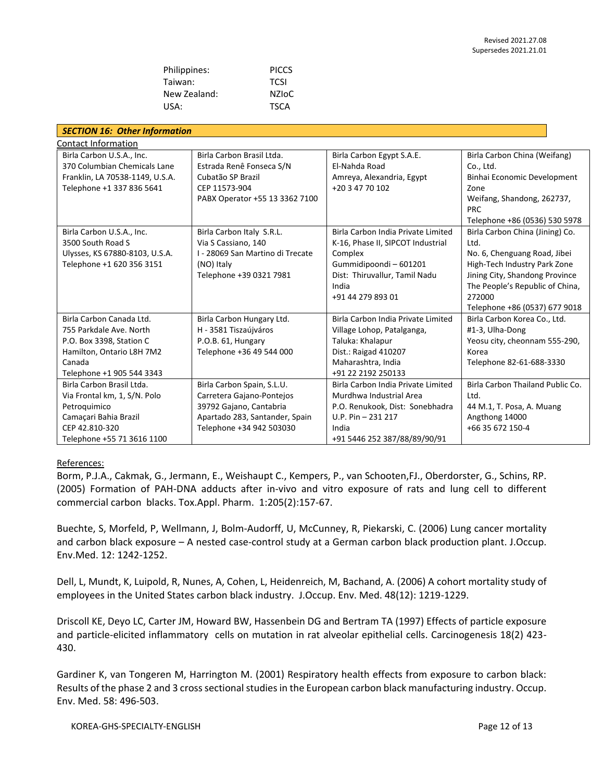| Philippines: | <b>PICCS</b> |
|--------------|--------------|
| Taiwan:      | <b>TCSI</b>  |
| New Zealand: | NZIoC        |
| USA:         | <b>TSCA</b>  |

| <b>SECTION 16: Other Information</b>                                                                                                                |                                                                                                                                                  |                                                                                                                                                                           |                                                                                                                                                                                                                         |  |
|-----------------------------------------------------------------------------------------------------------------------------------------------------|--------------------------------------------------------------------------------------------------------------------------------------------------|---------------------------------------------------------------------------------------------------------------------------------------------------------------------------|-------------------------------------------------------------------------------------------------------------------------------------------------------------------------------------------------------------------------|--|
| <b>Contact Information</b>                                                                                                                          |                                                                                                                                                  |                                                                                                                                                                           |                                                                                                                                                                                                                         |  |
| Birla Carbon U.S.A., Inc.<br>370 Columbian Chemicals Lane<br>Franklin, LA 70538-1149, U.S.A.                                                        | Birla Carbon Brasil Ltda.<br>Estrada Renê Fonseca S/N<br>Cubatão SP Brazil                                                                       | Birla Carbon Egypt S.A.E.<br>El-Nahda Road<br>Amreya, Alexandria, Egypt                                                                                                   | Birla Carbon China (Weifang)<br>Co., Ltd.<br>Binhai Economic Development                                                                                                                                                |  |
| Telephone +1 337 836 5641                                                                                                                           | CEP 11573-904<br>PABX Operator +55 13 3362 7100                                                                                                  | +20 3 47 70 102                                                                                                                                                           | Zone<br>Weifang, Shandong, 262737,<br><b>PRC</b><br>Telephone +86 (0536) 530 5978                                                                                                                                       |  |
| Birla Carbon U.S.A., Inc.<br>3500 South Road S<br>Ulysses, KS 67880-8103, U.S.A.<br>Telephone +1 620 356 3151                                       | Birla Carbon Italy S.R.L.<br>Via S Cassiano, 140<br>I - 28069 San Martino di Trecate<br>(NO) Italy<br>Telephone +39 0321 7981                    | Birla Carbon India Private Limited<br>K-16, Phase II, SIPCOT Industrial<br>Complex<br>Gummidipoondi-601201<br>Dist: Thiruvallur, Tamil Nadu<br>India<br>+91 44 279 893 01 | Birla Carbon China (Jining) Co.<br>Ltd.<br>No. 6, Chenguang Road, Jibei<br>High-Tech Industry Park Zone<br>Jining City, Shandong Province<br>The People's Republic of China,<br>272000<br>Telephone +86 (0537) 677 9018 |  |
| Birla Carbon Canada Ltd.<br>755 Parkdale Ave. North<br>P.O. Box 3398, Station C<br>Hamilton, Ontario L8H 7M2<br>Canada<br>Telephone +1 905 544 3343 | Birla Carbon Hungary Ltd.<br>H - 3581 Tiszaújváros<br>P.O.B. 61, Hungary<br>Telephone +36 49 544 000                                             | Birla Carbon India Private Limited<br>Village Lohop, Patalganga,<br>Taluka: Khalapur<br>Dist.: Raigad 410207<br>Maharashtra, India<br>+91 22 2192 250133                  | Birla Carbon Korea Co., Ltd.<br>#1-3, Ulha-Dong<br>Yeosu city, cheonnam 555-290,<br>Korea<br>Telephone 82-61-688-3330                                                                                                   |  |
| Birla Carbon Brasil Ltda.<br>Via Frontal km, 1, S/N. Polo<br>Petroquimico<br>Camaçari Bahia Brazil<br>CEP 42.810-320<br>Telephone +55 71 3616 1100  | Birla Carbon Spain, S.L.U.<br>Carretera Gajano-Pontejos<br>39792 Gajano, Cantabria<br>Apartado 283, Santander, Spain<br>Telephone +34 942 503030 | Birla Carbon India Private Limited<br>Murdhwa Industrial Area<br>P.O. Renukook, Dist: Sonebhadra<br>U.P. Pin $-231$ 217<br>India<br>+91 5446 252 387/88/89/90/91          | Birla Carbon Thailand Public Co.<br>Ltd.<br>44 M.1, T. Posa, A. Muang<br>Angthong 14000<br>+66 35 672 150-4                                                                                                             |  |

## References:

Borm, P.J.A., Cakmak, G., Jermann, E., Weishaupt C., Kempers, P., van Schooten,FJ., Oberdorster, G., Schins, RP. (2005) Formation of PAH-DNA adducts after in-vivo and vitro exposure of rats and lung cell to different commercial carbon blacks. Tox.Appl. Pharm. 1:205(2):157-67.

Buechte, S, Morfeld, P, Wellmann, J, Bolm-Audorff, U, McCunney, R, Piekarski, C. (2006) Lung cancer mortality and carbon black exposure – A nested case-control study at a German carbon black production plant. J.Occup. Env.Med. 12: 1242-1252.

Dell, L, Mundt, K, Luipold, R, Nunes, A, Cohen, L, Heidenreich, M, Bachand, A. (2006) A cohort mortality study of employees in the United States carbon black industry. J.Occup. Env. Med. 48(12): 1219-1229.

Driscoll KE, Deyo LC, Carter JM, Howard BW, Hassenbein DG and Bertram TA (1997) Effects of particle exposure and particle-elicited inflammatory cells on mutation in rat alveolar epithelial cells. Carcinogenesis 18(2) 423- 430.

Gardiner K, van Tongeren M, Harrington M. (2001) Respiratory health effects from exposure to carbon black: Results of the phase 2 and 3 cross sectional studies in the European carbon black manufacturing industry. Occup. Env. Med. 58: 496-503.